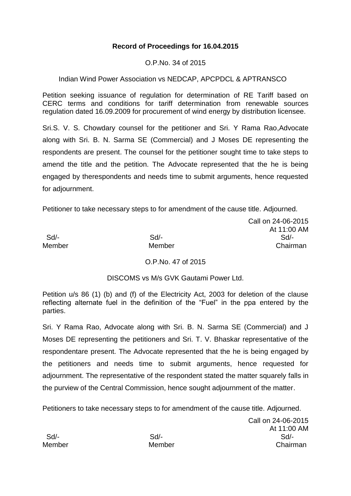# **Record of Proceedings for 16.04.2015**

O.P.No. 34 of 2015

## Indian Wind Power Association vs NEDCAP, APCPDCL & APTRANSCO

Petition seeking issuance of regulation for determination of RE Tariff based on CERC terms and conditions for tariff determination from renewable sources regulation dated 16.09.2009 for procurement of wind energy by distribution licensee.

Sri.S. V. S. Chowdary counsel for the petitioner and Sri. Y Rama Rao,Advocate along with Sri. B. N. Sarma SE (Commercial) and J Moses DE representing the respondents are present. The counsel for the petitioner sought time to take steps to amend the title and the petition. The Advocate represented that the he is being engaged by therespondents and needs time to submit arguments, hence requested for adjournment.

Petitioner to take necessary steps to for amendment of the cause title. Adjourned.

Call on 24-06-2015 At 11:00 AM Sd/- Sd/- Sd/- Member Member Chairman

## O.P.No. 47 of 2015

## DISCOMS vs M/s GVK Gautami Power Ltd.

Petition u/s 86 (1) (b) and (f) of the Electricity Act, 2003 for deletion of the clause reflecting alternate fuel in the definition of the "Fuel" in the ppa entered by the parties.

Sri. Y Rama Rao, Advocate along with Sri. B. N. Sarma SE (Commercial) and J Moses DE representing the petitioners and Sri. T. V. Bhaskar representative of the respondentare present. The Advocate represented that the he is being engaged by the petitioners and needs time to submit arguments, hence requested for adjournment. The representative of the respondent stated the matter squarely falls in the purview of the Central Commission, hence sought adjournment of the matter.

Petitioners to take necessary steps to for amendment of the cause title. Adjourned.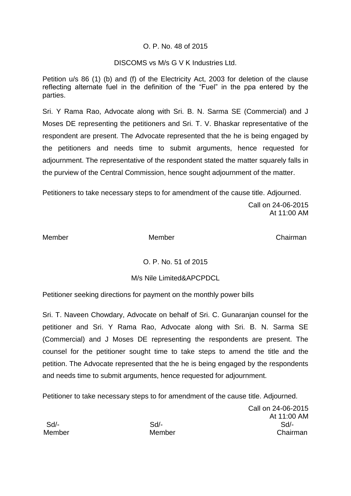### O. P. No. 48 of 2015

### DISCOMS vs M/s G V K Industries Ltd.

Petition u/s 86 (1) (b) and (f) of the Electricity Act, 2003 for deletion of the clause reflecting alternate fuel in the definition of the "Fuel" in the ppa entered by the parties.

Sri. Y Rama Rao, Advocate along with Sri. B. N. Sarma SE (Commercial) and J Moses DE representing the petitioners and Sri. T. V. Bhaskar representative of the respondent are present. The Advocate represented that the he is being engaged by the petitioners and needs time to submit arguments, hence requested for adjournment. The representative of the respondent stated the matter squarely falls in the purview of the Central Commission, hence sought adjournment of the matter.

Petitioners to take necessary steps to for amendment of the cause title. Adjourned.

Call on 24-06-2015 At 11:00 AM

Member Member Chairman

## O. P. No. 51 of 2015

## M/s Nile Limited&APCPDCL

Petitioner seeking directions for payment on the monthly power bills

Sri. T. Naveen Chowdary, Advocate on behalf of Sri. C. Gunaranjan counsel for the petitioner and Sri. Y Rama Rao, Advocate along with Sri. B. N. Sarma SE (Commercial) and J Moses DE representing the respondents are present. The counsel for the petitioner sought time to take steps to amend the title and the petition. The Advocate represented that the he is being engaged by the respondents and needs time to submit arguments, hence requested for adjournment.

Petitioner to take necessary steps to for amendment of the cause title. Adjourned.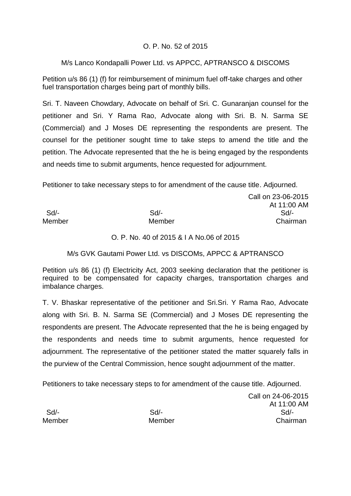## O. P. No. 52 of 2015

## M/s Lanco Kondapalli Power Ltd. vs APPCC, APTRANSCO & DISCOMS

Petition u/s 86 (1) (f) for reimbursement of minimum fuel off-take charges and other fuel transportation charges being part of monthly bills.

Sri. T. Naveen Chowdary, Advocate on behalf of Sri. C. Gunaranjan counsel for the petitioner and Sri. Y Rama Rao, Advocate along with Sri. B. N. Sarma SE (Commercial) and J Moses DE representing the respondents are present. The counsel for the petitioner sought time to take steps to amend the title and the petition. The Advocate represented that the he is being engaged by the respondents and needs time to submit arguments, hence requested for adjournment.

Petitioner to take necessary steps to for amendment of the cause title. Adjourned.

|        |        | Call on 23-06-201 |
|--------|--------|-------------------|
|        |        | At 11:00 AN       |
| Sd     | $Sd$ - | Sd/-              |
| Member | Member | Chairman          |

Call on 23-06-2015 At 11:00 AM

#### O. P. No. 40 of 2015 & I A No.06 of 2015

M/s GVK Gautami Power Ltd. vs DISCOMs, APPCC & APTRANSCO

Petition u/s 86 (1) (f) Electricity Act, 2003 seeking declaration that the petitioner is required to be compensated for capacity charges, transportation charges and imbalance charges.

T. V. Bhaskar representative of the petitioner and Sri.Sri. Y Rama Rao, Advocate along with Sri. B. N. Sarma SE (Commercial) and J Moses DE representing the respondents are present. The Advocate represented that the he is being engaged by the respondents and needs time to submit arguments, hence requested for adjournment. The representative of the petitioner stated the matter squarely falls in the purview of the Central Commission, hence sought adjournment of the matter.

Petitioners to take necessary steps to for amendment of the cause title. Adjourned.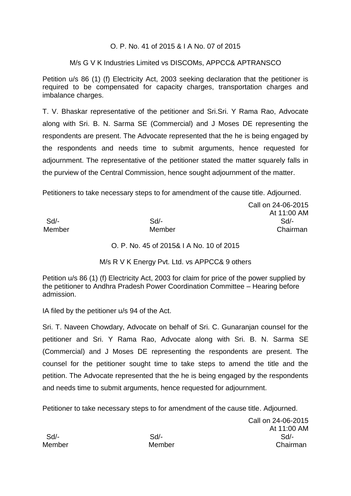### O. P. No. 41 of 2015 & I A No. 07 of 2015

### M/s G V K Industries Limited vs DISCOMs, APPCC& APTRANSCO

Petition u/s 86 (1) (f) Electricity Act, 2003 seeking declaration that the petitioner is required to be compensated for capacity charges, transportation charges and imbalance charges.

T. V. Bhaskar representative of the petitioner and Sri.Sri. Y Rama Rao, Advocate along with Sri. B. N. Sarma SE (Commercial) and J Moses DE representing the respondents are present. The Advocate represented that the he is being engaged by the respondents and needs time to submit arguments, hence requested for adjournment. The representative of the petitioner stated the matter squarely falls in the purview of the Central Commission, hence sought adjournment of the matter.

Petitioners to take necessary steps to for amendment of the cause title. Adjourned.

|        |        | At 11:00 AM |
|--------|--------|-------------|
| Sd/-   | Sd/-   | Sd/-        |
| Member | Member | Chairman    |

O. P. No. 45 of 2015& I A No. 10 of 2015

M/s R V K Energy Pvt. Ltd. vs APPCC& 9 others

Petition u/s 86 (1) (f) Electricity Act, 2003 for claim for price of the power supplied by the petitioner to Andhra Pradesh Power Coordination Committee – Hearing before admission.

IA filed by the petitioner u/s 94 of the Act.

Sri. T. Naveen Chowdary, Advocate on behalf of Sri. C. Gunaranjan counsel for the petitioner and Sri. Y Rama Rao, Advocate along with Sri. B. N. Sarma SE (Commercial) and J Moses DE representing the respondents are present. The counsel for the petitioner sought time to take steps to amend the title and the petition. The Advocate represented that the he is being engaged by the respondents and needs time to submit arguments, hence requested for adjournment.

Petitioner to take necessary steps to for amendment of the cause title. Adjourned.

Call on 24-06-2015 At 11:00 AM Sd/- Sd/- Sd/- Member Member Chairman

Call on 24-06-2015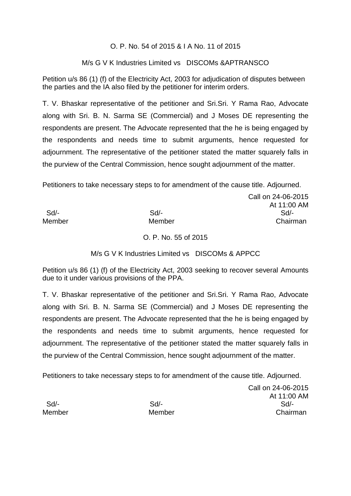### O. P. No. 54 of 2015 & I A No. 11 of 2015

### M/s G V K Industries Limited vs DISCOMs &APTRANSCO

Petition u/s 86 (1) (f) of the Electricity Act, 2003 for adjudication of disputes between the parties and the IA also filed by the petitioner for interim orders.

T. V. Bhaskar representative of the petitioner and Sri.Sri. Y Rama Rao, Advocate along with Sri. B. N. Sarma SE (Commercial) and J Moses DE representing the respondents are present. The Advocate represented that the he is being engaged by the respondents and needs time to submit arguments, hence requested for adjournment. The representative of the petitioner stated the matter squarely falls in the purview of the Central Commission, hence sought adjournment of the matter.

Petitioners to take necessary steps to for amendment of the cause title. Adjourned.

|        |        | Call on 24-06-2015 |
|--------|--------|--------------------|
|        |        | At 11:00 AM        |
| Sd     | $Sd$ - | $Sd$ -             |
| Member | Member | Chairman           |
|        |        |                    |

O. P. No. 55 of 2015

M/s G V K Industries Limited vs DISCOMs & APPCC

Petition u/s 86 (1) (f) of the Electricity Act, 2003 seeking to recover several Amounts due to it under various provisions of the PPA.

T. V. Bhaskar representative of the petitioner and Sri.Sri. Y Rama Rao, Advocate along with Sri. B. N. Sarma SE (Commercial) and J Moses DE representing the respondents are present. The Advocate represented that the he is being engaged by the respondents and needs time to submit arguments, hence requested for adjournment. The representative of the petitioner stated the matter squarely falls in the purview of the Central Commission, hence sought adjournment of the matter.

Petitioners to take necessary steps to for amendment of the cause title. Adjourned.